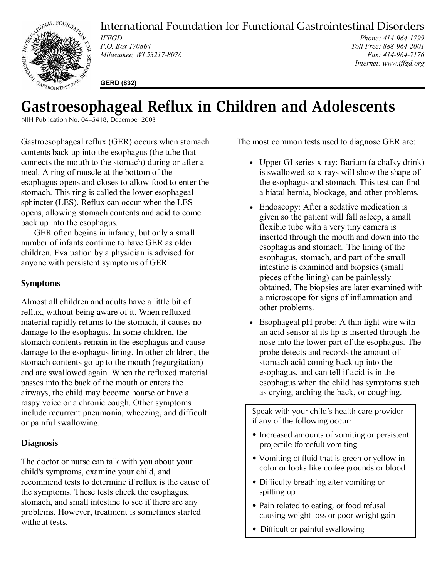

International Foundation for Functional Gastrointestinal Disorders

*IFFGD P.O. Box 170864 Milwaukee, WI 53217-8076* 

*Phone: 414-964-1799 Toll Free: 888-964-2001 Fax: 414-964-7176 Internet: www.iffgd.org*

**GERD (832)** 

# **Gastroesophageal Reflux in Children and Adolescents**

NIH Publication No. 04–5418, December 2003

Gastroesophageal reflux (GER) occurs when stomach contents back up into the esophagus (the tube that connects the mouth to the stomach) during or after a meal. A ring of muscle at the bottom of the esophagus opens and closes to allow food to enter the stomach. This ring is called the lower esophageal sphincter (LES). Reflux can occur when the LES opens, allowing stomach contents and acid to come back up into the esophagus.

 GER often begins in infancy, but only a small number of infants continue to have GER as older children. Evaluation by a physician is advised for anyone with persistent symptoms of GER.

## **Symptoms**

Almost all children and adults have a little bit of reflux, without being aware of it. When refluxed material rapidly returns to the stomach, it causes no damage to the esophagus. In some children, the stomach contents remain in the esophagus and cause damage to the esophagus lining. In other children, the stomach contents go up to the mouth (regurgitation) and are swallowed again. When the refluxed material passes into the back of the mouth or enters the airways, the child may become hoarse or have a raspy voice or a chronic cough. Other symptoms include recurrent pneumonia, wheezing, and difficult or painful swallowing.

## **Diagnosis**

The doctor or nurse can talk with you about your child's symptoms, examine your child, and recommend tests to determine if reflux is the cause of the symptoms. These tests check the esophagus, stomach, and small intestine to see if there are any problems. However, treatment is sometimes started without tests.

The most common tests used to diagnose GER are:

- Upper GI series x-ray: Barium (a chalky drink) is swallowed so x-rays will show the shape of the esophagus and stomach. This test can find a hiatal hernia, blockage, and other problems.
- Endoscopy: After a sedative medication is given so the patient will fall asleep, a small flexible tube with a very tiny camera is inserted through the mouth and down into the esophagus and stomach. The lining of the esophagus, stomach, and part of the small intestine is examined and biopsies (small pieces of the lining) can be painlessly obtained. The biopsies are later examined with a microscope for signs of inflammation and other problems.
- Esophageal pH probe: A thin light wire with an acid sensor at its tip is inserted through the nose into the lower part of the esophagus. The probe detects and records the amount of stomach acid coming back up into the esophagus, and can tell if acid is in the esophagus when the child has symptoms such as crying, arching the back, or coughing.

Speak with your child's health care provider if any of the following occur:

- Increased amounts of vomiting or persistent projectile (forceful) vomiting
- Vomiting of fluid that is green or yellow in color or looks like coffee grounds or blood
- Difficulty breathing after vomiting or spitting up
- Pain related to eating, or food refusal causing weight loss or poor weight gain
- Difficult or painful swallowing